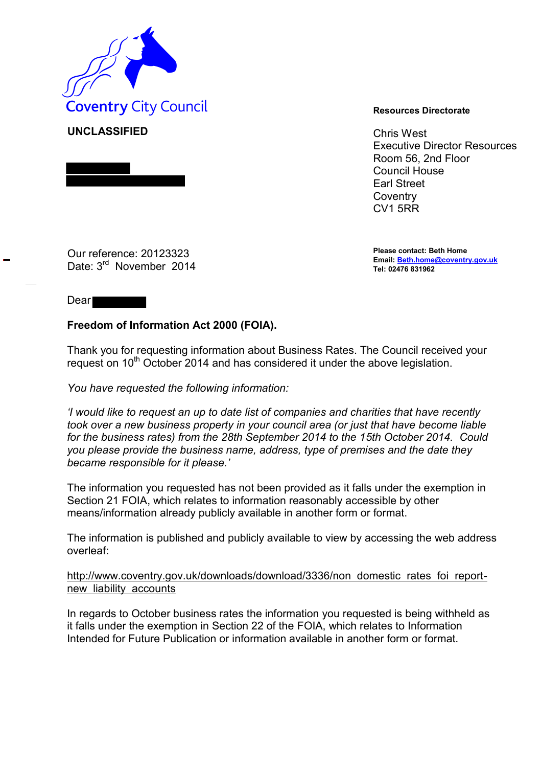

**UNCLASSIFIED** Chris West Executive Director Resources Room 56, 2nd Floor Council House Earl Street **Coventry** CV1 5RR

> **Please contact: Beth Home Email[: Beth.home@coventry.gov.uk](mailto:Beth.home@coventry.gov.uk) Tel: 02476 831962**

Our reference: 20123323 Date: 3<sup>rd</sup> November 2014

Dear<sup>1</sup>

## **Freedom of Information Act 2000 (FOIA).**

Thank you for requesting information about Business Rates. The Council received your request on 10<sup>th</sup> October 2014 and has considered it under the above legislation.

*You have requested the following information:* 

*'I would like to request an up to date list of companies and charities that have recently took over a new business property in your council area (or just that have become liable for the business rates) from the 28th September 2014 to the 15th October 2014. Could you please provide the business name, address, type of premises and the date they became responsible for it please.'* 

The information you requested has not been provided as it falls under the exemption in Section 21 FOIA, which relates to information reasonably accessible by other means/information already publicly available in another form or format.

The information is published and publicly available to view by accessing the web address overleaf:

[http://www.coventry.gov.uk/downloads/download/3336/non domestic rates foi report](http://www.coventry.gov.uk/downloads/download/3336/non_domestic_rates_foi_report-new_liability_accounts)[new liability accounts](http://www.coventry.gov.uk/downloads/download/3336/non_domestic_rates_foi_report-new_liability_accounts)

In regards to October business rates the information you requested is being withheld as it falls under the exemption in Section 22 of the FOIA, which relates to Information Intended for Future Publication or information available in another form or format.